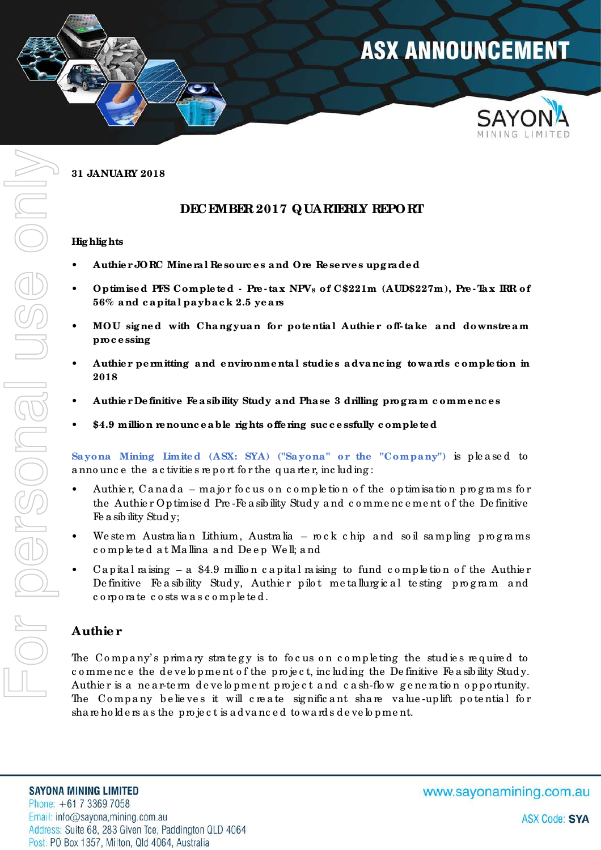

**31 JANUARY 2018** 

## **DECEMBER 2017 QUARTERLY REPORT**

#### **Hig hlig hts**

- ï **Authie r JORC Mine ra l Re sourc e s a nd Ore Re se rve s upgra de d**
- ï **Optimise d PFS Comple te d Pre ta x NPV8 of C\$221m (AUD\$227m), Pre Ta x IRR of 56% a nd c a pita l pa yba c k 2.5 ye a rs**
- MOU signed with Changyuan for potential Authier off-take and downstream **proc e ssing**
- ï **Authie r pe rmitting a nd e nvironme nta l studie s a dva nc ing towa rds c omple tion in 2018**
- Authier De finitive Fe a sibility Study and Phase 3 drilling program commences
- ï **\$4.9 million re nounc e a ble rig hts offe ring suc c e ssfully c omple te d**

Sayona Mining Limited (ASX: SYA) ("Sayona" or the "Company") is pleased to a nno unc e the a c tivitie s re p o rt fo r the q ua rte r, inc lud ing :

- Authier, Canada major focus on completion of the optimisation programs for the Authie r Op timise d Pre -Fe a sib ility Stud y a nd c o mme nc e me nt o f the De finitive Fe a sib ility Stud y;
- We ste m Austra lian Lithium, Austra lia ro c k c hip and so il samp ling programs c o mp le te d a t Ma llina a nd De e p We ll; a nd
- Ca p ital raising  $-$  a \$4.9 million capital raising to fund completion of the Authier De finitive Fe a sibility Study, Authier pilot me ta llurgical te sting program and c o rp o ra te c o sts wa s c o mp le te d .

## **Authie r**

The Company's primary strategy is to focus on completing the studies required to c o mme nc e the d e ve lo p me nt o f the p ro ject, including the Definitive Fe a sibility Study. Authier is a near-term development project and cash-flow generation opportunity. The Company believes it will create significant share value-up lift potential for share holders as the project is advanced to wards development.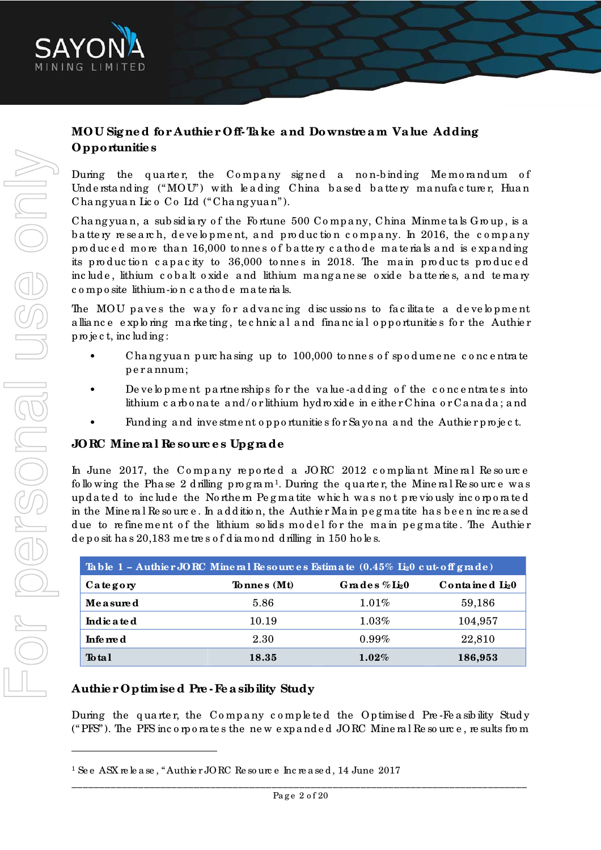

# **MOU Sig ne d for Authie r Off- Ta ke a nd Downstre a m Va lue Adding Opportunitie s**

During the quarter, the Company signed a non-binding Memorandum of Und e rstanding  $("MOU")$  with leading China based battery manufacturer, Huan Cha ng yua n Lic o Co Ltd ("Cha ng yua n").

Chang yuan, a sub sidiary of the Fortune 500 Company, China Minmetals Group, is a b a tte ry re search, development, and production company. In 2016, the company produced more than 16,000 tonnes of battery cathode materials and is expanding its production capacity to 36,000 tonnes in 2018. The main products produced inc lude, lithium cobalt oxide and lithium manganese oxide batteries, and temary c o mp o site lithium-io n c a tho d e ma te ria ls.

The MOU paves the way for advancing discussions to facilitate a development a lliance exploring marketing, technical and financial opportunities for the Authier p ro je c t, inc lud ing :

- Chang yuan purchasing up to 100,000 to nnes of spod ume ne concentrate p e r a nnum;
- De ve lo p me nt p a rtne rship s for the value-adding of the c oncentrates into lithium c a rb o na te a nd / o r lithium hyd ro xid e in e ithe r China o r Ca na d a ; a nd
- Funding and investment opportunities for Sayona and the Authier project.

## **JORC Mine ra l Re sourc e s Upg ra de**

In June 2017, the Company reported a JORC 2012 compliant Mineral Resource following the Phase 2 d rilling  $p$  rog ram<sup>1</sup>. During the quarter, the Mineral Resource was up d a te d to inc lud e the No rthe rn Pe g ma tite whic h wa s no t p re vio usly inc o rp o ra te d in the Mine ra l Re so urc e . In a d d itio n, the Authie r Ma in p e g ma tite ha s b e e n inc re a se d due to refinement of the lithium solids model for the main pegmatite. The Authier d e p o sit ha s 20,183 me tre s o f d ia mo nd d rilling in 150 ho le s.

| Table $1$ - Authier JORC Mineral Resources Estimate $(0.45\%$ L <sub>2</sub> 0 cut off grade) |                |                               |                             |  |
|-----------------------------------------------------------------------------------------------|----------------|-------------------------------|-----------------------------|--|
| Category                                                                                      | To nne $s(Mt)$ | Grades $\%$ Li <sub>2</sub> 0 | Contained Li <sub>2</sub> 0 |  |
| Measured                                                                                      | 5.86           | 1.01%                         | 59,186                      |  |
| Indic a te d                                                                                  | 10.19          | $1.03\%$                      | 104,957                     |  |
| Infe me d                                                                                     | 2.30           | $0.99\%$                      | 22,810                      |  |
| Total                                                                                         | 18.35          | $1.02\%$                      | 186,953                     |  |

## **Authie r Optimise d Pre - Fe a sibility Study**

During the quarter, the Company completed the Optimised Pre-Fe asibility Study (" $PFS$ "). The PFS incorporates the new expanded JORC Mineral Resource, results from

 $\overline{a}$ 

<sup>1</sup> Se e ASX re le a se , "Authie r JORC Re so urc e Inc re a se d , 14 June 2017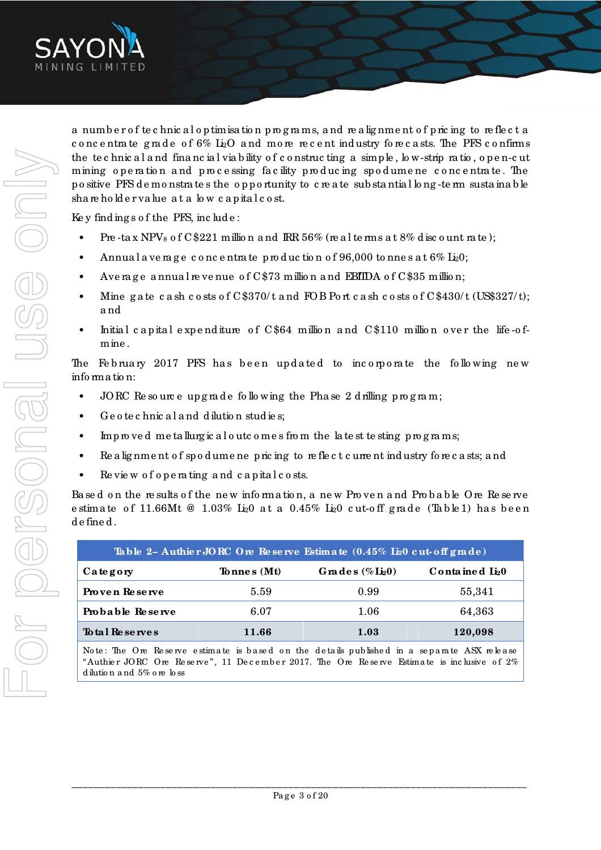

a number of technical optimisation programs, and realignment of pricing to reflect a concentrate grade of  $6\%$  L<sub>2</sub>O and more recent industry forecasts. The PFS confirms the technical and financial viability of constructing a simple, low-strip ratio, open-cut mining operation and processing facility producing spodumene concentrate. The positive PFS de monstrates the opportunity to create substantial long-term sustainable shareholder value at a low capital cost.

Key findings of the PFS, include:

- Pre-tax NPVs of  $C$221$  million and IRR 56% (real terms at 8% discount rate);
- $\bullet$ Annual average concentrate production of 96,000 tonnes at  $6\%$  L<sub>2</sub>0;
- Average annual revenue of C\$73 million and EBIIDA of C\$35 million;
- Mine gate cash costs of  $C$370/t$  and FOB Port cash costs of  $C$430/t$  (US\$327/t); and
- Initial capital expenditure of C\$64 million and C\$110 million over the life-ofmine.

The February 2017 PFS has been updated to incorporate the following new information:

- JORC Resource upgrade following the Phase 2 drilling program;
- $\bullet$ Geotechnical and dilution studies;
- $m$  p  $m$  ved metallurgical outcomes from the latest testing p  $m$  g  $m$  ms;  $\bullet$
- Realignment of spodumene pricing to reflect current industry forecasts; and
- $\bullet$ Review of operating and capital costs.

Based on the results of the new information, a new Proven and Probable Ore Reserve estimate of 11.66Mt @ 1.03% Li<sub>2</sub>0 at a 0.45% Li<sub>2</sub>0 cut-off grade (Table1) has been defined.

| Table 2- Authier JORC Ore Reserve Estimate $(0.45\%$ Li <sub>2</sub> 0 cut off grade) |             |                              |                          |  |
|---------------------------------------------------------------------------------------|-------------|------------------------------|--------------------------|--|
| Category                                                                              | Tonnes (Mt) | Grades $(\%$ $\text{Li}_20)$ | Contained $\text{Li}_20$ |  |
| Proven Reserve                                                                        | 5.59        | 0.99                         | 55,341                   |  |
| Probable Reserve                                                                      | 6.07        | 1.06                         | 64,363                   |  |
| To tal Reserves                                                                       | 11.66       | 1.03                         | 120,098                  |  |

Note: The Ore Reserve estimate is based on the details published in a separate ASX release "Authier JORC Ore Reserve", 11 December 2017. The Ore Reserve Estimate is inclusive of 2% dilution and 5% ore loss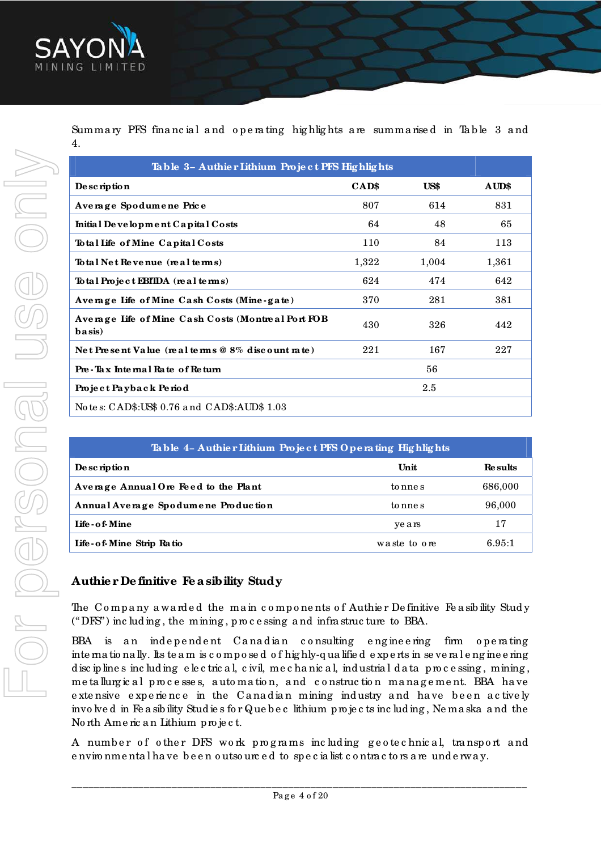

Summary PFS financial and operating highlights are summarised in Table 3 and 4.

| Table 3- Authier Lithium Project PFS Highlights                 |       |       |       |  |
|-----------------------------------------------------------------|-------|-------|-------|--|
| De sc ription                                                   | CAD\$ | US\$  | AUD\$ |  |
| Average Spodumene Price                                         | 807   | 614   | 831   |  |
| Initial Development Capital Costs                               | 64    | 48    | 65    |  |
| Total Life of Mine Capital Costs                                | 110   | 84    | 113   |  |
| To tal Net Revenue (real terms)                                 | 1,322 | 1,004 | 1,361 |  |
| To tal Project EBIIDA (real terms)                              | 624   | 474   | 642   |  |
| Average Life of Mine Cash Costs (Mine-gate)                     | 370   | 281   | 381   |  |
| Average Life of Mine Cash Costs (Montreal Port FOB<br>$b axis)$ | 430   | 326   | 442   |  |
| Net Present Value (real terms $@8\%$ discount rate)             | 221   | 167   | 227   |  |
| 56<br>Pre-Tax Internal Rate of Return                           |       |       |       |  |
| $2.5\,$<br>Project Payback Period                               |       |       |       |  |
| No te s: CAD\$:US\$ 0.76 and CAD\$:AUD\$ 1.03                   |       |       |       |  |

| Table 4- Authier Lithium Project PFS Operating Highlights |              |                |  |
|-----------------------------------------------------------|--------------|----------------|--|
| De sc ription                                             | Unit         | <b>Results</b> |  |
| Average Annual Ore Feed to the Plant                      | to nne s     | 686,000        |  |
| Annual Average Spodumene Production                       | to nne s     | 96,000         |  |
| Life - o f-Mine                                           | years        | 17             |  |
| Life - of Mine Strip Ratio                                | waste to ore | 6.95:1         |  |

## Authier Definitive Feasibility Study

The Company awarded the main components of Authier Definitive Feasibility Study ("DFS") including, the mining, processing and infrastructure to BBA.

BBA is an independent Canadian consulting engineering firm operating inte mationally. Its te am is composed of highly-qualified experts in several engineering disciplines including electrical, civil, mechanical, industrial data processing, mining, metallurgical processes, automation, and construction management. BBA have extensive experience in the Canadian mining industry and have been actively involved in Feasibility Studies for Quebec lithium projects including, Nemaska and the North American Lithium project.

A number of other DFS work programs including geotechnical, transport and e nvironmental have been outsourced to specialist contractors are underway.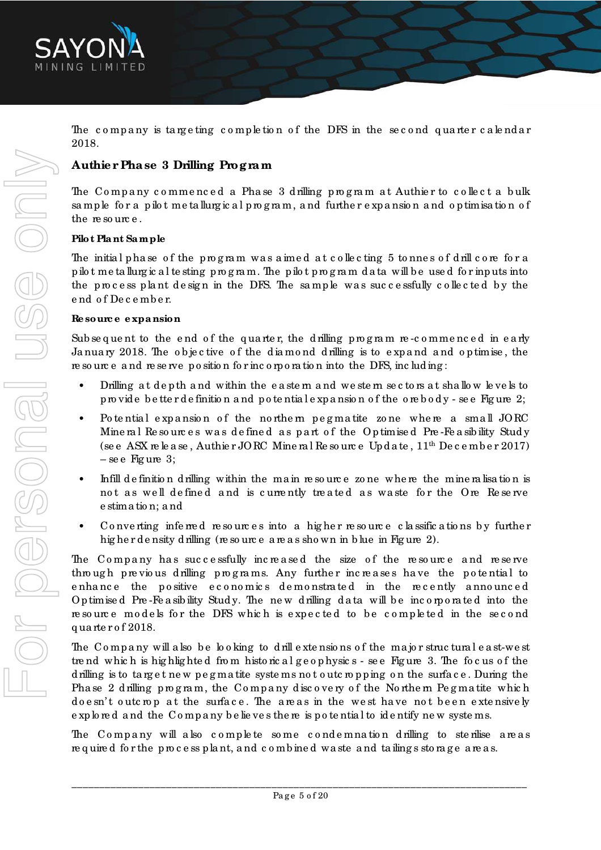

The company is targeting completion of the DFS in the second quarter calendar 2018.

### **Authie r Pha se 3 Drilling Progra m**

The Company commenced a Phase 3 drilling program at Authier to collect a bulk sample for a pilot me tallurgic al program, and further expansion and optimisation of the resource.

### **Pilot Pla nt Sa mple**

The initial phase of the program was aimed at collecting 5 tonnes of drill core for a p ilo t me ta llurg ic a l te sting p ro g ra m. The p ilo t p ro g ra m d a ta will b e use d fo r inp uts into the process plant design in the DFS. The sample was successfully collected by the e nd o f De c e mb e r.

### **Re sourc e e xpa nsion**

Subsequent to the end of the quarter, the drilling program re-commenced in early January 2018. The objective of the diamond drilling is to expand and optimise, the re so urc e a nd re se rve p o sitio n fo r inc o rp o ra tio n into the DFS, inc lud ing :

- Drilling at depth and within the eastem and we stem sectors at shallow levels to p ro vid e b e tte r d e finitio n a nd p o te ntia l e xp a nsio n o f the o re b o d y - se e Fig ure 2;
- Po tential expansion of the northern pegmatite zone where a small JORC Mine ral Re sources was defined as part of the Optimised Pre-Feasibility Study (see ASX release, Authier JORC Mineral Resource Update,  $11<sup>th</sup>$  December 2017)  $-$  se e Figure 3;
- Infill definition drilling within the main resource zone where the mineralisation is not as well defined and is currently treated as waste for the Ore Reserve e stima tio n; a nd
- Converting inferred resources into a higher resource classifications by further higher density drilling (resource are as shown in blue in Figure 2).

The Company has successfully increased the size of the resource and reserve through previous drilling programs. Any further increases have the potential to e nhance the positive economics demonstrated in the recently announced Op timised Pre-Fe a sibility Study. The new drilling data will be incorporated into the re so urce models for the DFS which is expected to be completed in the second q ua rte r o f 2018.

The Company will also be looking to drill extensions of the major structural east-west tre nd which is highlighted from historical geophysics - see Figure 3. The focus of the d rilling is to target new pegmatite systems not outcropping on the surface. During the Phase 2 d rilling program, the Company discovery of the Northern Pegmatite which do e sn't outc rop at the surface. The areas in the west have not been extensively e xp lo re d a nd the Co mp a ny b e lie ve s the re is p o te ntia l to id e ntify ne w syste ms.

The Company will also complete some condemnation drilling to sterilise areas required for the process plant, and combined waste and tailings storage areas.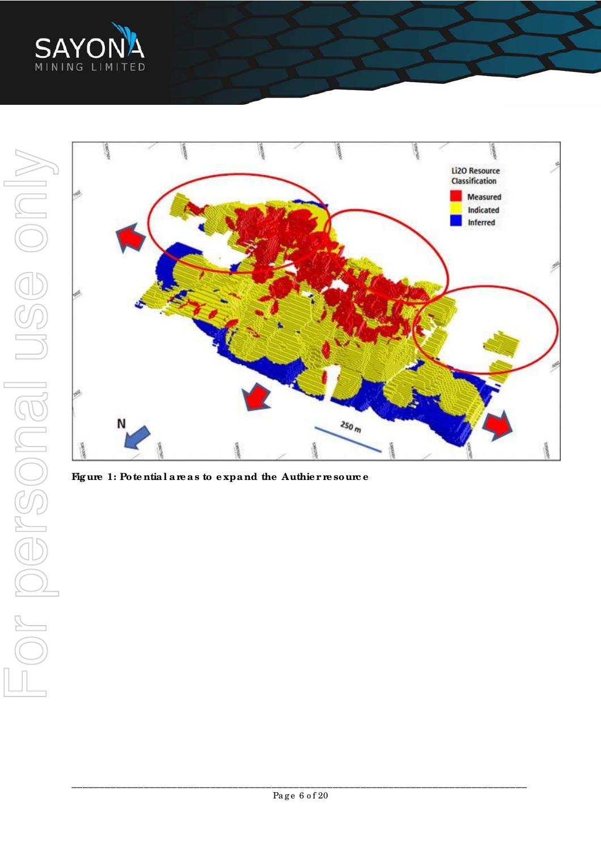



Figure 1: Potential areas to expand the Authier resource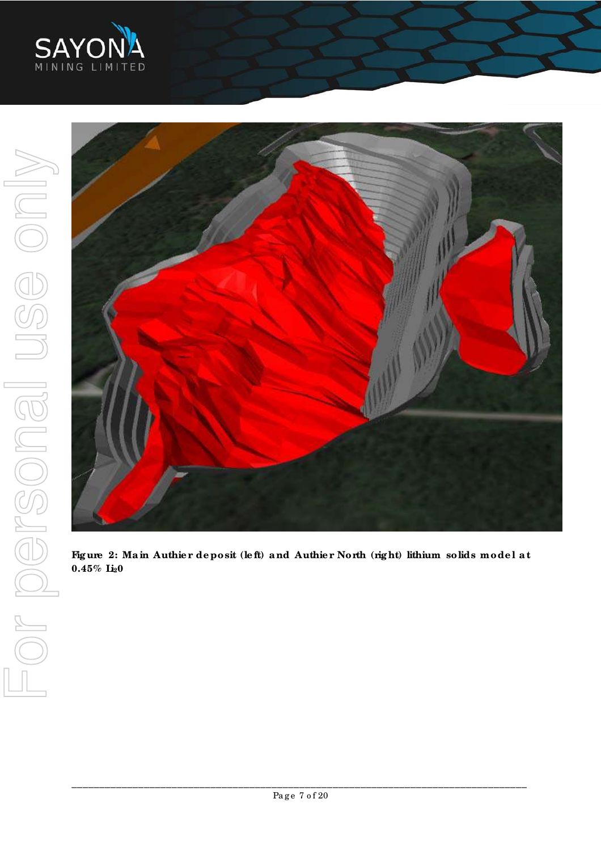



Figure 2: Main Authier deposit (left) and Authier North (right) lithium solids model at  $0.45\%$  Li<sub>2</sub>0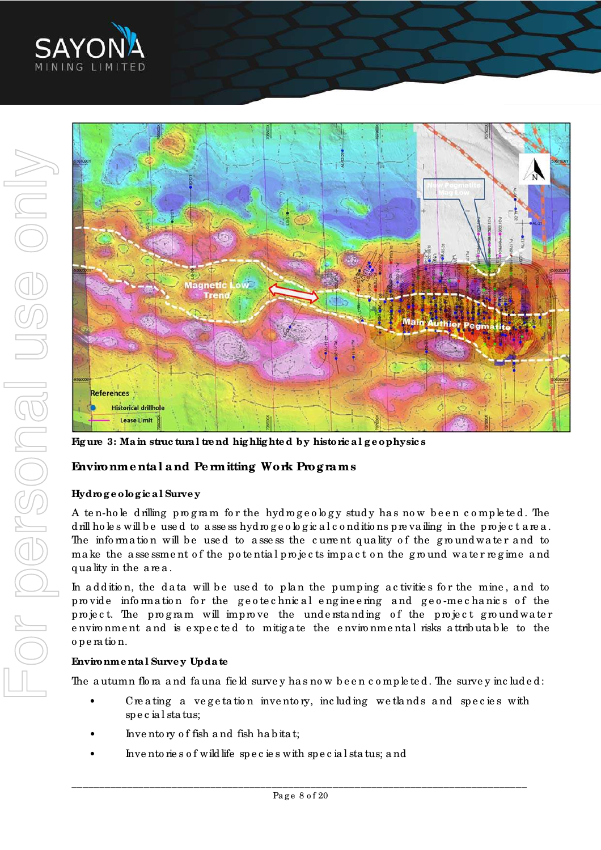



**Fig ure 3: Ma in struc tura l tre nd hig hlig hte d by historic a l g e ophysic s** 

### **Environme nta l a nd Pe rmitting Work Prog ra ms**

### **Hydrog e olog ic a l Surve y**

A ten-hole drilling program for the hydrogeology study has now been completed. The d rill ho les will be used to assess hyd rogeological conditions prevailing in the project area. The information will be used to assess the current quality of the ground water and to make the assessment of the potential projects impact on the ground water regime and q ua lity in the a re a .

In a d d ition, the d a ta will be used to plan the pumping activities for the mine, and to provide information for the geotechnical engineering and geo-mechanics of the project. The program will improve the understanding of the project groundwater environment and is expected to mitigate the environmental risks attributable to the o p e ra tio n.

#### **Environme nta l Surve y Upda te**

The autumn flora and fauna field survey has now been completed. The survey included:

- Creating a vegetation inventory, including we tlands and species with sp e c ia l sta tus;
- Inventory of fish and fish habitat;
- Invento rie s o f wild life species with special status; and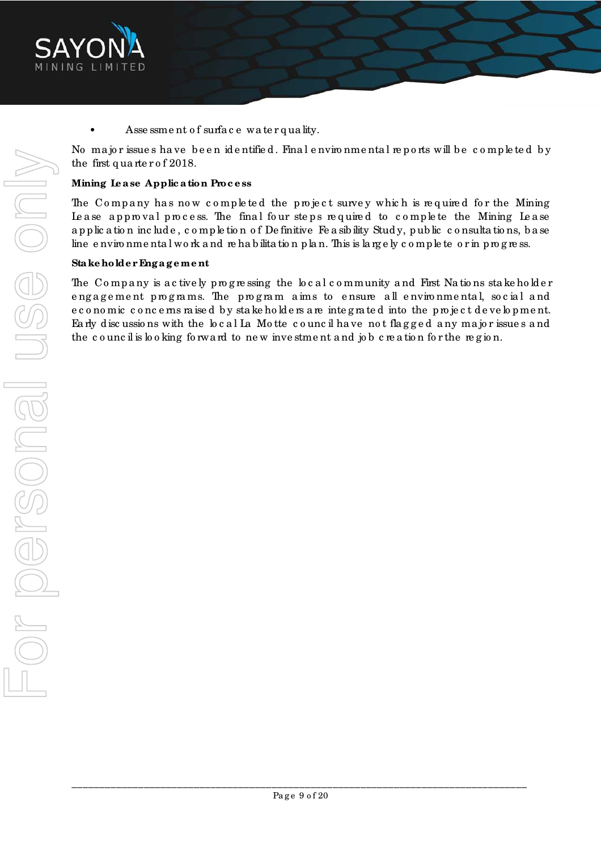

Asse ssment of surface water quality.

No major issue s have been identified. Final environmental reports will be completed by the first q ua rte r o f 2018.

### **Mining Le a se Applic a tion Proc e ss**

The Company has now completed the project survey which is required for the Mining Le a se approval process. The final four steps required to complete the Mining Lease a p p lic a tio n inc lud e , c o mp le tio n o f De finitive Fe a sib ility Stud y, p ub lic c o nsulta tio ns, b a se line e nviro nme nta l work a nd re ha b ilita tion p la n. This is largely complete or in progress.

### **Sta ke holde r Eng a g e me nt**

The Company is actively progressing the local community and First Nations stake holder engagement programs. The program aims to ensure all environmental, social and e c o no mic c o nc e ms raise d by stake holders are integrated into the project development. Ea rly d isc ussio ns with the lo c a l La Mo tte c o unc il ha ve no t fla g g e d a ny ma jo r issue s a nd the council is looking forward to new investment and job creation for the region.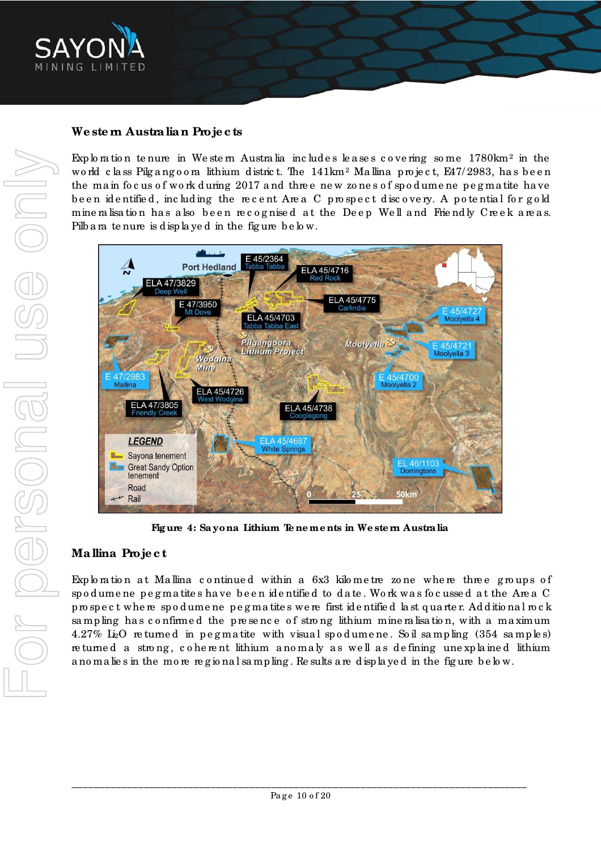

## **We ste rn Austra lia n Proje c ts**

Exploration tenure in Western Australia includes leases covering some  $1780 \rm{km}^2$  in the world class Pilgangoora lithium district. The 141km² Mallina project, E47/2983, has been the main focus of work during 2017 and three new zones of spodumene pegmatite have been identified, including the recent Area C prospect discovery. A potential for gold mine ralisation has also been recognised at the Deep Well and Friendly Creek areas. Pilb a ra te nure is disp la ye d in the fig ure b e lo w.



**Fig ure 4: Sa yona Lithium Te ne me nts in We ste rn Austra lia**

## **Ma llina Proje c t**

Exploration at Mallina continued within a 6x3 kilometre zone where three groups of sp o d ume ne p e g ma tite s ha ve b e e n id e ntifie d to d a te . Wo rk wa s fo c usse d a t the Are a C p ro sp e c t whe re sp o d ume ne p e g ma tite s we re first id e ntifie d la st q ua rte r. Ad d itio na l ro c k sampling has confirmed the presence of strong lithium mineralisation, with a maximum 4.27% Li<sub>2</sub>O returned in pegmatite with visual spodumene. Soil sampling  $(354 \text{ samples})$ re turned a strong, coherent lithium anomaly as well as defining une xplained lithium a no ma lie s in the mo re re g io na l sa mp ling . Re sults a re d isp la ye d in the fig ure b e lo w.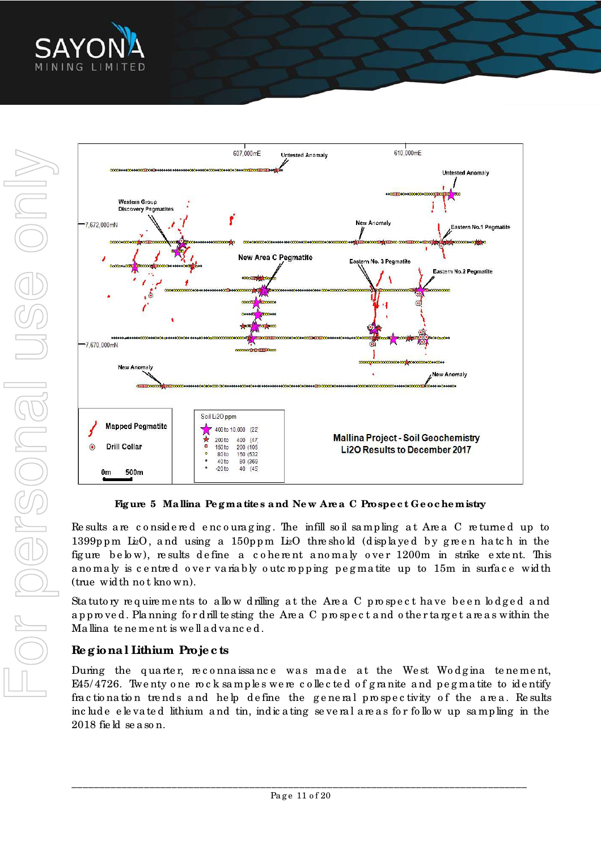



**Fig ure 5 Ma llina Pe g ma tite s a nd Ne w Are a C Prospe c t Ge oc he mistry** 

Re sults are considered encouraging. The infill soil sampling at Area C returned up to 1399ppm Li<sub>2</sub>O, and using a 150ppm Li<sub>2</sub>O thre shold (displayed by green hatch in the figure below), results define a coherent anomaly over 1200m in strike extent. This a no maly is centred over variably outcropping pegmatite up to 15m in surface width (true wid th no t kno wn).

Statutory requirements to allow drilling at the Area C prospect have been lodged and approved. Planning for drill te sting the Area C prospect and other target are as within the Ma llina te ne ment is well advanced.

### **Re g iona l Lithium Proje c ts**

During the quarter, reconnaissance was made at the West Wodgina tenement, E45/ 4726. Twe nty o ne ro c k sa mp le s we re c o lle c te d o f g ra nite a nd p e g ma tite to id e ntify fractionation trends and help define the general prospectivity of the area. Results inc lud e e le va te d lithium a nd tin, indic a ting se ve ra l a re a s fo r fo llo w up sa mp ling in the 2018 fie ld se a so n.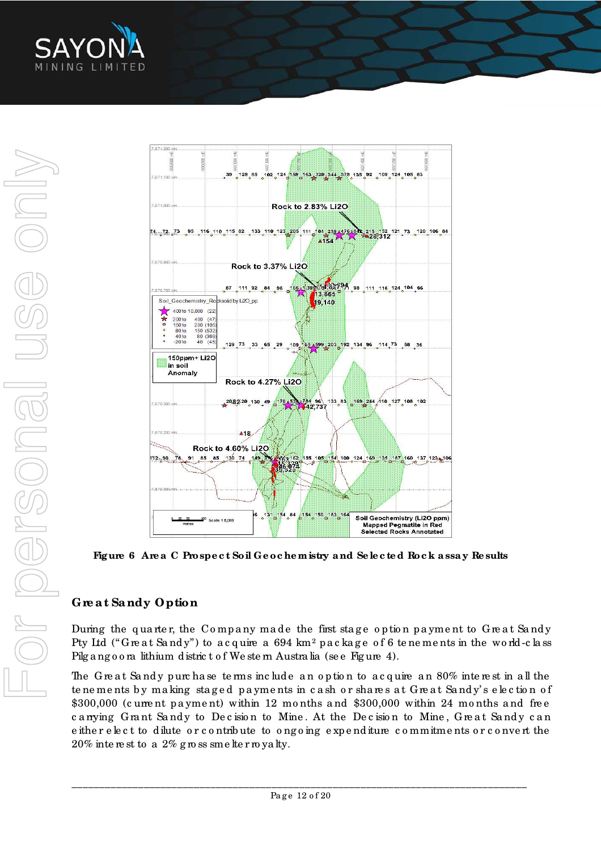



**Fig ure 6 Are a C Prospe c t Soil Ge oc he mistry a nd Se le c te d Roc k a ssa y Re sults** 

# **Gre a t Sa ndy Option**

During the quarter, the Company made the first stage option payment to Great Sandy Pty Ltd ("Great Sandy") to acquire a 694 km² package of 6 tenements in the world-class Pilg a ng o o ra lithium district of We stem Australia (see Figure 4).

The G reat Sandy purchase terms include an option to acquire an 80% interest in all the te ne me nts by making staged payments in cash or shares at Great Sandy's election of \$300,000 (current payment) within 12 months and \$300,000 within 24 months and free canying Grant Sandy to Decision to Mine. At the Decision to Mine, Great Sandy can e ithe r e le c t to d ilute o r c o ntrib ute to o ng o ing e xp e nd iture c o mmitme nts o r c o nve rt the  $20\%$  interest to a  $2\%$  g ross smelter royalty.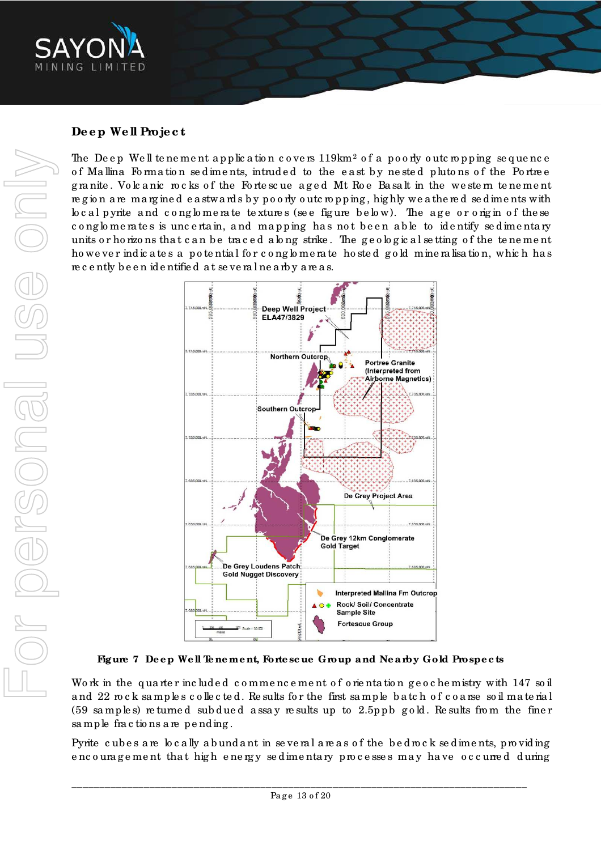

### **De e p We ll Proje c t**

The Deep Well tenement application covers  $119 \rm{km^2}$  of a poorly outcropping sequence of Mallina Formation sed iments, intruded to the east by nested plutons of the Portree granite. Volcanic rocks of the Fortescue aged Mt Roe Basalt in the western tenement region are margined eastwards by poorly outcropping, highly we athered sediments with local pyrite and conglomerate textures (see figure below). The age or origin of these cong lo me rates is uncertain, and mapping has not been able to identify sedimentary units or ho rizons that can be traced along strike. The geological setting of the tenement howe ver indicates a potential for conglomerate hosted gold mineralisation, which has re c e ntly b e e n id e ntifie d a t se ve ra l ne a rb y a re a s.



Figure 7 Deep Well Tenement, Fortescue Group and Nearby Gold Prospects

Work in the quarter included commencement of orientation geochemistry with 147 soil and 22 rock samples collected. Results for the first sample batch of coarse soil material  $(59$  samples) returned subdued assay results up to 2.5ppb gold. Results from the finer sample fractions are pending.

Pyrite cubes are locally abundant in several areas of the bedrock sediments, providing encouragement that high energy sedimentary processes may have occurred during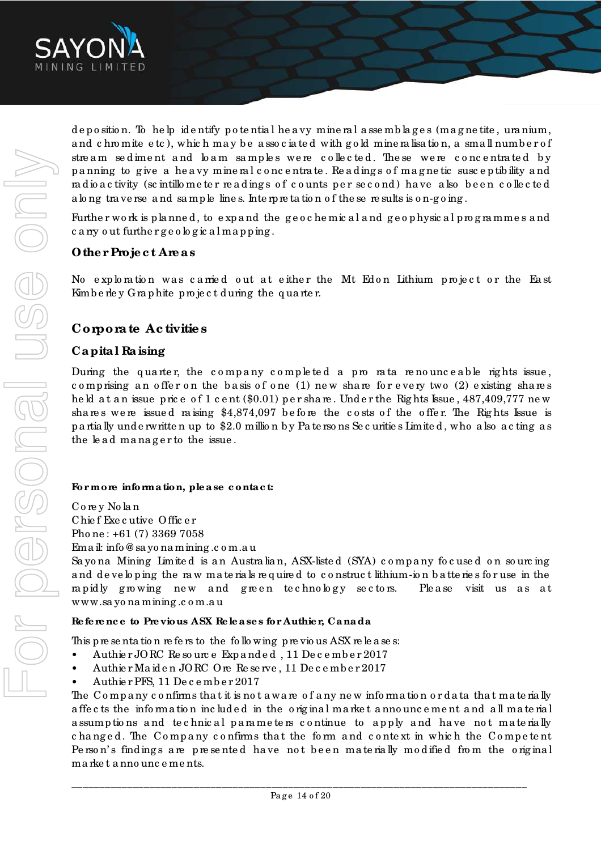

d e p o sitio n. To he lp ide ntify p o te ntia l he a vy mine ra l a sse mb la g e s (ma g ne tite , ura nium, and c hro mite e tc ), which may be associated with gold mine ralisation, a small number of stream sediment and loam samples were collected. These were concentrated by p a nning to g ive a he a vy mine ra l c o nc e ntra te . Re a d ing s o f ma g ne tic susc e p tib ility a nd radio a c tivity (sc intillo meter readings of counts per second) have also been collected a long tra ve rse and sample lines. Interpretation of the sere sults is on-going.

Further work is planned, to expand the geochemical and geophysical programmes and c a rry o ut furthe r g e o lo g ic a l ma p p ing .

### **Othe r Proje c t Are a s**

No exploration was carried out at either the Mt Edon Lithium project or the East Kimb e rle y Graphite project during the quarter.

### **Corpora te Ac tivitie s**

### **Ca pita l Ra ising**

During the quarter, the company completed a pro rata renounceable rights issue, comprising an offer on the basis of one (1) new share for every two (2) existing shares he ld at an issue price of 1 c ent (\$0.01) per share. Under the Rights Issue, 487,409,777 new shares were issued raising  $$4,874,097$  before the costs of the offer. The Rights Issue is p a rtia lly und e rwritte n up to \$2.0 millio n b y Pa te rso ns Se c uritie s Limite d , who a lso a c ting a s the lead manager to the issue.

### **For more informa tion, ple a se c onta c t:**

Co re y No la n Chie f Exe c utive Offic e r Pho ne : +61 (7) 3369 7058 Ema il: info @ sa yo na mining .c o m.a u

Sayona Mining Limited is an Australian, ASX-listed (SYA) company focused on sourcing and developing the raw materials required to construct lithium-ion batteries for use in the rapidly growing new and green technology sectors. Please visit us as at www.sa yo na mining .c o m.a u

### **Re fe re nc e to Pre vious ASX Re le a se s for Authie r, Ca na da**

This p re sentation refers to the following p revious ASX releases:

- Authie r JORC Re so urc e Exp a nd e d, 11 De c e mb e r 2017
- ï Authie r Ma id e n JORC Ore Re se rve , 11 De c e mb e r 2017
- Authie r PFS, 11 De c e mb e r 2017

The Company confirms that it is not aware of any new information or data that materially a ffe c ts the info rma tio n inc lud e d in the o rig ina l ma rke t a nno unc e me nt a nd a ll ma te ria l assumptions and technical parameters continue to apply and have not materially changed. The Company confirms that the form and context in which the Competent Pe rson's findings are presented have not been materially modified from the original marke t anno unce ments.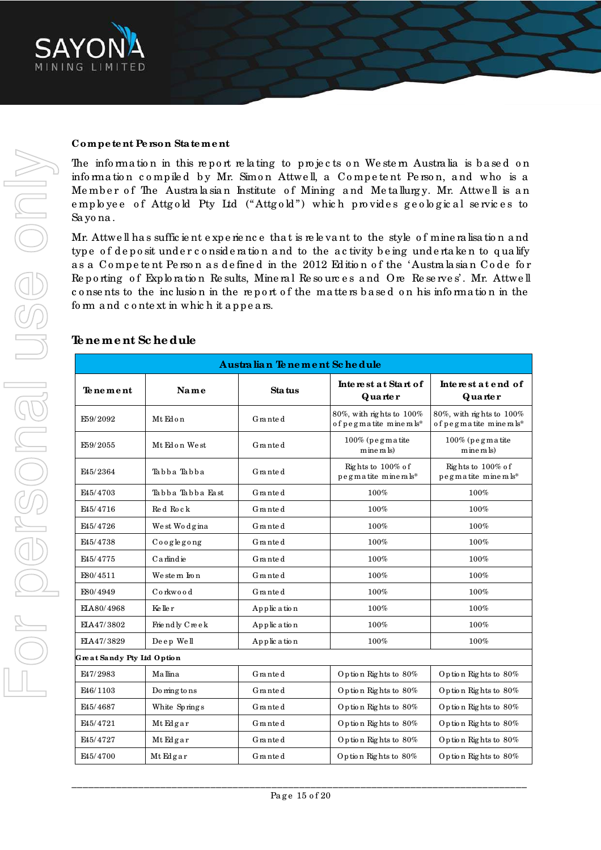

### **Compe te nt Pe rson Sta te me nt**

The information in this report relating to projects on Western Australia is based on information compiled by Mr. Simon Attwell, a Competent Person, and who is a Member of The Australasian Institute of Mining and Metallurgy. Mr. Attwell is an employee of Attgold Pty Ltd ("Attgold") which provides geological services to Sa yo na .

Mr. Attwe ll ha s suffic ie nt e xp e rie nc e tha t is re le va nt to the style o f mine ra lisa tio n a nd type of deposit under consideration and to the activity being undertaken to qualify as a Competent Person as defined in the 2012 Edition of the 'Australasian Code for Reporting of Exploration Results, Mineral Resources and Ore Reserves'. Mr. Attwell consents to the inclusion in the report of the matters based on his information in the form and context in which it appears.

### **Te ne me nt Sc he dule**

| Australian Tenement Schedule |                  |             |                                                       |                                                       |
|------------------------------|------------------|-------------|-------------------------------------------------------|-------------------------------------------------------|
| Tenement                     | Name             | Sta tus     | Interest at Start of<br>Quarter                       | Interest at end of<br>Quarter                         |
| E59/2092                     | Mt Edon          | Granted     | 80%, with rights to $100\%$<br>of pegmatite minerals* | 80%, with rights to $100\%$<br>of pegmatite minerals* |
| E59/2055                     | Mt Edon West     | Granted     | $100\%$ (pegmatite<br>mine rals)                      | $100\%$ (pegmatite<br>mine rals)                      |
| E45/2364                     | Tabba Tabba      | Granted     | Rights to 100% of<br>pegmatite minerals*              | Rights to 100% of<br>pegmatite minerals*              |
| F <sub>45</sub> /4703        | Tabba Tabba Fast | Granted     | 100%                                                  | 100%                                                  |
| E45/4716                     | Red Rock         | Granted     | 100%                                                  | 100%                                                  |
| F45/4726                     | We st Wo dg ina  | Granted     | 100%                                                  | 100%                                                  |
| E45/4738                     | $Co$ o g legong  | Granted     | 100%                                                  | $100\%$                                               |
| F <sub>45</sub> /4775        | $C$ a rlind ie   | Granted     | 100%                                                  | 100%                                                  |
| E80/4511                     | We ste m Iron    | Granted     | 100%                                                  | $100\%$                                               |
| E80/4949                     | Corkwood         | Granted     | 100%                                                  | 100%                                                  |
| ELA80/4968                   | Ke lle r         | Application | 100%                                                  | 100%                                                  |
| EIA47/3802                   | Friendly Creek   | Application | 100%                                                  | 100%                                                  |
| EIA47/3829                   | Deep Well        | Application | 100%                                                  | $100\%$                                               |
| Great Sandy Pty Ltd Option   |                  |             |                                                       |                                                       |
| E47/2983                     | Mallina          | Granted     | Option Rights to 80%                                  | Option Rights to 80%                                  |
| E46/1103                     | Do ming to ns    | Granted     | Option Rights to 80%                                  | Option Rights to 80%                                  |
| E45/4687                     | White Springs    | Granted     | Option Rights to 80%                                  | Option Rights to 80%                                  |
| E45/4721                     | MtEdgar          | Granted     | Option Rights to 80%                                  | Option Rights to 80%                                  |
| E45/4727                     | MtEdgar          | Granted     | Option Rights to 80%                                  | Option Rights to 80%                                  |
| E45/4700                     | MtEdgar          | Granted     | Option Rights to 80%                                  | Option Rights to 80%                                  |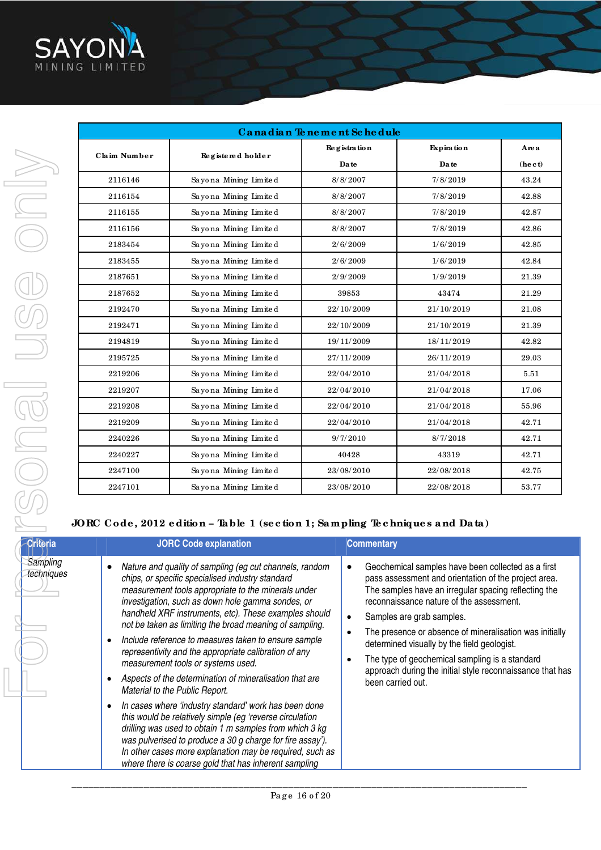

| Canadian Tenement Schedule |                       |              |                   |               |
|----------------------------|-----------------------|--------------|-------------------|---------------|
| Claim Number               |                       | Registration | <b>Expiration</b> | Are a         |
|                            | Registered holder     | Da te        | Da te             | $($ he c $t)$ |
| 2116146                    | Sayona Mining Limited | 8/8/2007     | 7/8/2019          | 43.24         |
| 2116154                    | Sayona Mining Limited | 8/8/2007     | 7/8/2019          | 42.88         |
| 2116155                    | Sayona Mining Limited | 8/8/2007     | 7/8/2019          | 42.87         |
| 2116156                    | Sayona Mining Limited | 8/8/2007     | 7/8/2019          | 42.86         |
| 2183454                    | Sayona Mining Limited | 2/6/2009     | 1/6/2019          | 42.85         |
| 2183455                    | Sayona Mining Limited | 2/6/2009     | 1/6/2019          | 42.84         |
| 2187651                    | Sayona Mining Limited | 2/9/2009     | 1/9/2019          | 21.39         |
| 2187652                    | Sayona Mining Limited | 39853        | 43474             | 21.29         |
| 2192470                    | Sayona Mining Limited | 22/10/2009   | 21/10/2019        | 21.08         |
| 2192471                    | Sayona Mining Limited | 22/10/2009   | 21/10/2019        | 21.39         |
| 2194819                    | Sayona Mining Limited | 19/11/2009   | 18/11/2019        | 42.82         |
| 2195725                    | Sayona Mining Limited | 27/11/2009   | 26/11/2019        | 29.03         |
| 2219206                    | Sayona Mining Limited | 22/04/2010   | 21/04/2018        | 5.51          |
| 2219207                    | Sayona Mining Limited | 22/04/2010   | 21/04/2018        | 17.06         |
| 2219208                    | Sayona Mining Limited | 22/04/2010   | 21/04/2018        | 55.96         |
| 2219209                    | Sayona Mining Limited | 22/04/2010   | 21/04/2018        | 42.71         |
| 2240226                    | Sayona Mining Limited | 9/7/2010     | 8/7/2018          | 42.71         |
| 2240227                    | Sayona Mining Limited | 40428        | 43319             | 42.71         |
| 2247100                    | Sayona Mining Limited | 23/08/2010   | 22/08/2018        | 42.75         |
| 2247101                    | Sayona Mining Limited | 23/08/2010   | 22/08/2018        | 53.77         |

### **JORC Code , 2012 e dition – Ta ble 1 (se c tion 1; Sa mpling Te c hnique s a nd Da ta )**

| <b>Criteria</b>        | <b>JORC Code explanation</b>                                                                                                                                                                                                                                                                                                                                                                                                                                                                                                                                                                                                                                                                                                                                                                                                                                                                                                                                      | <b>Commentary</b>                                                                                                                                                                                                                                                                                                                                                                                                                                                                         |
|------------------------|-------------------------------------------------------------------------------------------------------------------------------------------------------------------------------------------------------------------------------------------------------------------------------------------------------------------------------------------------------------------------------------------------------------------------------------------------------------------------------------------------------------------------------------------------------------------------------------------------------------------------------------------------------------------------------------------------------------------------------------------------------------------------------------------------------------------------------------------------------------------------------------------------------------------------------------------------------------------|-------------------------------------------------------------------------------------------------------------------------------------------------------------------------------------------------------------------------------------------------------------------------------------------------------------------------------------------------------------------------------------------------------------------------------------------------------------------------------------------|
| Sampling<br>techniques | Nature and quality of sampling (eg cut channels, random<br>chips, or specific specialised industry standard<br>measurement tools appropriate to the minerals under<br>investigation, such as down hole gamma sondes, or<br>handheld XRF instruments, etc). These examples should<br>not be taken as limiting the broad meaning of sampling.<br>Include reference to measures taken to ensure sample<br>representivity and the appropriate calibration of any<br>measurement tools or systems used.<br>Aspects of the determination of mineralisation that are<br>Material to the Public Report.<br>In cases where 'industry standard' work has been done<br>this would be relatively simple (eg 'reverse circulation<br>drilling was used to obtain 1 m samples from which 3 kg<br>was pulverised to produce a 30 g charge for fire assay').<br>In other cases more explanation may be required, such as<br>where there is coarse gold that has inherent sampling | Geochemical samples have been collected as a first<br>pass assessment and orientation of the project area.<br>The samples have an irregular spacing reflecting the<br>reconnaissance nature of the assessment.<br>Samples are grab samples.<br>The presence or absence of mineralisation was initially<br>determined visually by the field geologist.<br>The type of geochemical sampling is a standard<br>approach during the initial style reconnaissance that has<br>been carried out. |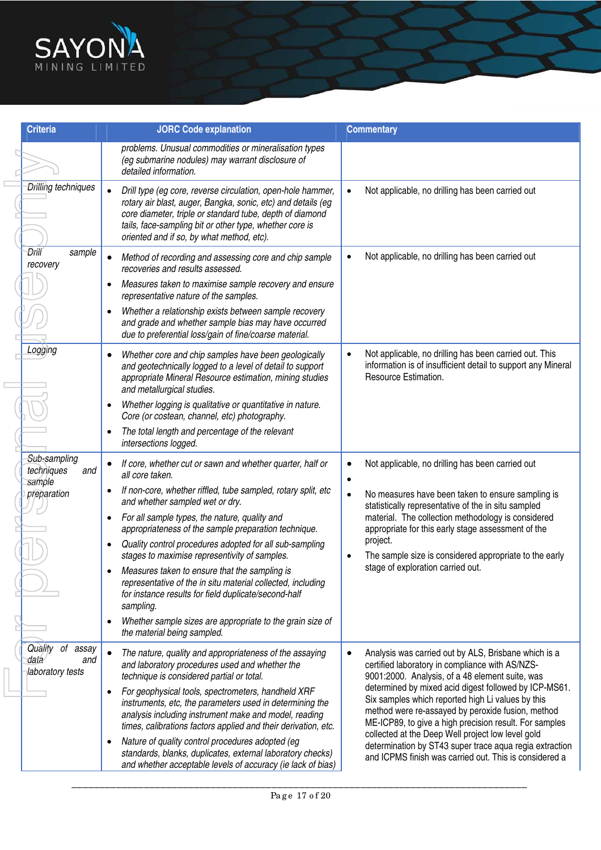

| <b>Criteria</b>                                     | <b>JORC Code explanation</b>                                                                                                                                                                                                                                                                    | <b>Commentary</b>                                                                                                                                                                                                                                                              |
|-----------------------------------------------------|-------------------------------------------------------------------------------------------------------------------------------------------------------------------------------------------------------------------------------------------------------------------------------------------------|--------------------------------------------------------------------------------------------------------------------------------------------------------------------------------------------------------------------------------------------------------------------------------|
|                                                     | problems. Unusual commodities or mineralisation types<br>(eg submarine nodules) may warrant disclosure of<br>detailed information.                                                                                                                                                              |                                                                                                                                                                                                                                                                                |
| <b>Drilling techniques</b>                          | Drill type (eg core, reverse circulation, open-hole hammer,<br>rotary air blast, auger, Bangka, sonic, etc) and details (eg<br>core diameter, triple or standard tube, depth of diamond<br>tails, face-sampling bit or other type, whether core is<br>oriented and if so, by what method, etc). | Not applicable, no drilling has been carried out<br>$\bullet$                                                                                                                                                                                                                  |
| Đriil<br>sample<br>recovery                         | Method of recording and assessing core and chip sample<br>recoveries and results assessed.                                                                                                                                                                                                      | Not applicable, no drilling has been carried out                                                                                                                                                                                                                               |
|                                                     | Measures taken to maximise sample recovery and ensure<br>$\bullet$<br>representative nature of the samples.                                                                                                                                                                                     |                                                                                                                                                                                                                                                                                |
|                                                     | Whether a relationship exists between sample recovery<br>and grade and whether sample bias may have occurred<br>due to preferential loss/gain of fine/coarse material.                                                                                                                          |                                                                                                                                                                                                                                                                                |
| Logging                                             | Whether core and chip samples have been geologically<br>and geotechnically logged to a level of detail to support<br>appropriate Mineral Resource estimation, mining studies<br>and metallurgical studies.                                                                                      | Not applicable, no drilling has been carried out. This<br>$\bullet$<br>information is of insufficient detail to support any Mineral<br>Resource Estimation.                                                                                                                    |
|                                                     | Whether logging is qualitative or quantitative in nature.<br>$\bullet$<br>Core (or costean, channel, etc) photography.                                                                                                                                                                          |                                                                                                                                                                                                                                                                                |
|                                                     | The total length and percentage of the relevant<br>intersections logged.                                                                                                                                                                                                                        |                                                                                                                                                                                                                                                                                |
| Sub-sampling<br>techniques<br>and<br>sample         | If core, whether cut or sawn and whether quarter, half or<br>all core taken.                                                                                                                                                                                                                    | Not applicable, no drilling has been carried out                                                                                                                                                                                                                               |
| preparation                                         | If non-core, whether riffled, tube sampled, rotary split, etc<br>and whether sampled wet or dry.                                                                                                                                                                                                | No measures have been taken to ensure sampling is<br>$\bullet$<br>statistically representative of the in situ sampled                                                                                                                                                          |
|                                                     | For all sample types, the nature, quality and<br>$\bullet$<br>appropriateness of the sample preparation technique.                                                                                                                                                                              | material. The collection methodology is considered<br>appropriate for this early stage assessment of the                                                                                                                                                                       |
|                                                     | Quality control procedures adopted for all sub-sampling<br>$\bullet$<br>stages to maximise representivity of samples.                                                                                                                                                                           | project.<br>The sample size is considered appropriate to the early                                                                                                                                                                                                             |
|                                                     | Measures taken to ensure that the sampling is<br>representative of the in situ material collected, including<br>for instance results for field duplicate/second-half<br>sampling.                                                                                                               | stage of exploration carried out.                                                                                                                                                                                                                                              |
|                                                     | Whether sample sizes are appropriate to the grain size of<br>the material being sampled.                                                                                                                                                                                                        |                                                                                                                                                                                                                                                                                |
| Quality of assay<br>data<br>and<br>laboratory tests | The nature, quality and appropriateness of the assaying<br>and laboratory procedures used and whether the<br>technique is considered partial or total.                                                                                                                                          | Analysis was carried out by ALS, Brisbane which is a<br>certified laboratory in compliance with AS/NZS-<br>9001:2000. Analysis, of a 48 element suite, was                                                                                                                     |
|                                                     | For geophysical tools, spectrometers, handheld XRF<br>instruments, etc, the parameters used in determining the<br>analysis including instrument make and model, reading<br>times, calibrations factors applied and their derivation, etc.                                                       | determined by mixed acid digest followed by ICP-MS61.<br>Six samples which reported high Li values by this<br>method were re-assayed by peroxide fusion, method<br>ME-ICP89, to give a high precision result. For samples<br>collected at the Deep Well project low level gold |
|                                                     | Nature of quality control procedures adopted (eg<br>standards, blanks, duplicates, external laboratory checks)<br>and whether acceptable levels of accuracy (ie lack of bias)                                                                                                                   | determination by ST43 super trace aqua regia extraction<br>and ICPMS finish was carried out. This is considered a                                                                                                                                                              |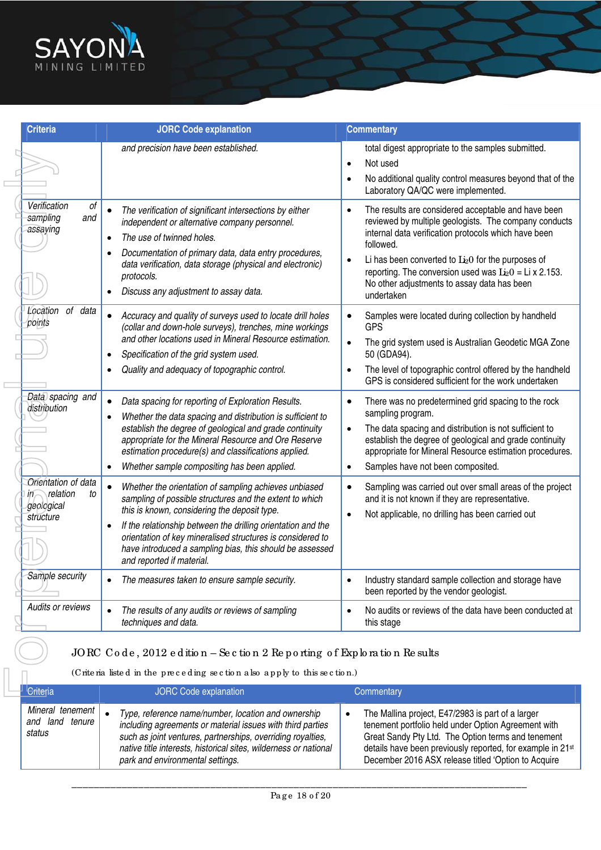

| <b>Criteria</b>                                                           | <b>JORC Code explanation</b>                                                                                                                                                                                                                                                                                                                                                                         | <b>Commentary</b>                                                                                                                                                                                                                                                                                                                                                                                |
|---------------------------------------------------------------------------|------------------------------------------------------------------------------------------------------------------------------------------------------------------------------------------------------------------------------------------------------------------------------------------------------------------------------------------------------------------------------------------------------|--------------------------------------------------------------------------------------------------------------------------------------------------------------------------------------------------------------------------------------------------------------------------------------------------------------------------------------------------------------------------------------------------|
|                                                                           | and precision have been established.                                                                                                                                                                                                                                                                                                                                                                 | total digest appropriate to the samples submitted.<br>Not used<br>$\bullet$<br>No additional quality control measures beyond that of the<br>Laboratory QA/QC were implemented.                                                                                                                                                                                                                   |
| Verification<br>оf<br>sampling<br>and<br>assaying                         | The verification of significant intersections by either<br>independent or alternative company personnel.<br>The use of twinned holes.<br>$\bullet$<br>Documentation of primary data, data entry procedures,<br>$\bullet$<br>data verification, data storage (physical and electronic)<br>protocols.<br>Discuss any adjustment to assay data.                                                         | The results are considered acceptable and have been<br>$\bullet$<br>reviewed by multiple geologists. The company conducts<br>internal data verification protocols which have been<br>followed.<br>Li has been converted to $Li2O$ for the purposes of<br>$\bullet$<br>reporting. The conversion used was $Li2O = Li \times 2.153$ .<br>No other adjustments to assay data has been<br>undertaken |
| Location of data<br>points                                                | Accuracy and quality of surveys used to locate drill holes<br>(collar and down-hole surveys), trenches, mine workings<br>and other locations used in Mineral Resource estimation.<br>Specification of the grid system used.<br>$\bullet$<br>Quality and adequacy of topographic control.                                                                                                             | Samples were located during collection by handheld<br><b>GPS</b><br>The grid system used is Australian Geodetic MGA Zone<br>$\bullet$<br>50 (GDA94).<br>The level of topographic control offered by the handheld<br>GPS is considered sufficient for the work undertaken                                                                                                                         |
| Data spacing and<br>distribution                                          | Data spacing for reporting of Exploration Results.<br>Whether the data spacing and distribution is sufficient to<br>$\bullet$<br>establish the degree of geological and grade continuity<br>appropriate for the Mineral Resource and Ore Reserve<br>estimation procedure(s) and classifications applied.<br>Whether sample compositing has been applied.                                             | There was no predetermined grid spacing to the rock<br>$\bullet$<br>sampling program.<br>The data spacing and distribution is not sufficient to<br>$\bullet$<br>establish the degree of geological and grade continuity<br>appropriate for Mineral Resource estimation procedures.<br>Samples have not been composited.<br>$\bullet$                                                             |
| Orientation of data<br>relation<br>to<br>$m -$<br>geological<br>structure | Whether the orientation of sampling achieves unbiased<br>sampling of possible structures and the extent to which<br>this is known, considering the deposit type.<br>If the relationship between the drilling orientation and the<br>$\bullet$<br>orientation of key mineralised structures is considered to<br>have introduced a sampling bias, this should be assessed<br>and reported if material. | Sampling was carried out over small areas of the project<br>$\bullet$<br>and it is not known if they are representative.<br>Not applicable, no drilling has been carried out<br>$\bullet$                                                                                                                                                                                                        |
| Sample security                                                           | The measures taken to ensure sample security.                                                                                                                                                                                                                                                                                                                                                        | Industry standard sample collection and storage have<br>$\bullet$<br>been reported by the vendor geologist.                                                                                                                                                                                                                                                                                      |
|                                                                           | The results of any audits or reviews of sampling<br>$\bullet$                                                                                                                                                                                                                                                                                                                                        | No audits or reviews of the data have been conducted at<br>$\bullet$                                                                                                                                                                                                                                                                                                                             |

## JORC Code, 2012 e d ition – Se c tion 2 Re p o rting of Exp loration Re sults

| <sup>I</sup> Criteria<br><b>JORC Code explanation</b> |                                                                                                                                                                                                                                                                                          | Commentary                                                                                                                                                                                                                                                                          |  |
|-------------------------------------------------------|------------------------------------------------------------------------------------------------------------------------------------------------------------------------------------------------------------------------------------------------------------------------------------------|-------------------------------------------------------------------------------------------------------------------------------------------------------------------------------------------------------------------------------------------------------------------------------------|--|
| Mineral tenement  <br>and land tenure<br>status       | Type, reference name/number, location and ownership<br>including agreements or material issues with third parties<br>such as joint ventures, partnerships, overriding royalties,<br>native title interests, historical sites, wilderness or national<br>park and environmental settings. | The Mallina project, E47/2983 is part of a larger<br>tenement portfolio held under Option Agreement with<br>Great Sandy Pty Ltd. The Option terms and tenement<br>details have been previously reported, for example in 21st<br>December 2016 ASX release titled 'Option to Acquire |  |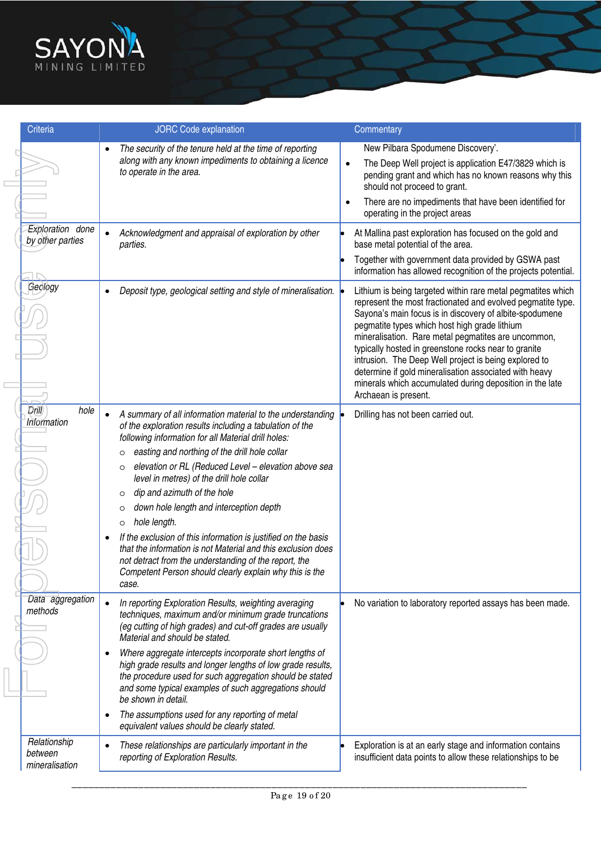

| <b>Criteria</b>                           | <b>JORC Code explanation</b>                                                                                                                                                                                                                                                                                                                                                                                                                                                                                                                                                                                                                                                                                                                                                  | Commentary                                                                                                                                                                                                                                                                                                                                                                                                                                                                                                                                                    |
|-------------------------------------------|-------------------------------------------------------------------------------------------------------------------------------------------------------------------------------------------------------------------------------------------------------------------------------------------------------------------------------------------------------------------------------------------------------------------------------------------------------------------------------------------------------------------------------------------------------------------------------------------------------------------------------------------------------------------------------------------------------------------------------------------------------------------------------|---------------------------------------------------------------------------------------------------------------------------------------------------------------------------------------------------------------------------------------------------------------------------------------------------------------------------------------------------------------------------------------------------------------------------------------------------------------------------------------------------------------------------------------------------------------|
|                                           | The security of the tenure held at the time of reporting<br>along with any known impediments to obtaining a licence<br>to operate in the area.                                                                                                                                                                                                                                                                                                                                                                                                                                                                                                                                                                                                                                | New Pilbara Spodumene Discovery'.<br>The Deep Well project is application E47/3829 which is<br>$\bullet$<br>pending grant and which has no known reasons why this<br>should not proceed to grant.<br>There are no impediments that have been identified for<br>$\bullet$<br>operating in the project areas                                                                                                                                                                                                                                                    |
| Exploration done<br>by other parties      | Acknowledgment and appraisal of exploration by other<br>$\bullet$<br>parties.                                                                                                                                                                                                                                                                                                                                                                                                                                                                                                                                                                                                                                                                                                 | At Mallina past exploration has focused on the gold and<br>base metal potential of the area.<br>Together with government data provided by GSWA past<br>information has allowed recognition of the projects potential.                                                                                                                                                                                                                                                                                                                                         |
| Geology                                   | Deposit type, geological setting and style of mineralisation.<br>$\bullet$                                                                                                                                                                                                                                                                                                                                                                                                                                                                                                                                                                                                                                                                                                    | Lithium is being targeted within rare metal pegmatites which<br>represent the most fractionated and evolved pegmatite type.<br>Sayona's main focus is in discovery of albite-spodumene<br>pegmatite types which host high grade lithium<br>mineralisation. Rare metal pegmatites are uncommon,<br>typically hosted in greenstone rocks near to granite<br>intrusion. The Deep Well project is being explored to<br>determine if gold mineralisation associated with heavy<br>minerals which accumulated during deposition in the late<br>Archaean is present. |
| Drill<br>hole<br>Information              | A summary of all information material to the understanding<br>$\bullet$<br>of the exploration results including a tabulation of the<br>following information for all Material drill holes:<br>easting and northing of the drill hole collar<br>$\circ$<br>elevation or RL (Reduced Level - elevation above sea<br>$\circ$<br>level in metres) of the drill hole collar<br>dip and azimuth of the hole<br>$\circ$<br>down hole length and interception depth<br>$\circ$<br>hole length.<br>$\circ$<br>If the exclusion of this information is justified on the basis<br>$\bullet$<br>that the information is not Material and this exclusion does<br>not detract from the understanding of the report, the<br>Competent Person should clearly explain why this is the<br>case. | Drilling has not been carried out.                                                                                                                                                                                                                                                                                                                                                                                                                                                                                                                            |
| Data aggregation<br>methods               | In reporting Exploration Results, weighting averaging<br>$\bullet$<br>techniques, maximum and/or minimum grade truncations<br>(eg cutting of high grades) and cut-off grades are usually<br>Material and should be stated.<br>Where aggregate intercepts incorporate short lengths of<br>high grade results and longer lengths of low grade results,<br>the procedure used for such aggregation should be stated<br>and some typical examples of such aggregations should<br>be shown in detail.<br>The assumptions used for any reporting of metal<br>$\bullet$<br>equivalent values should be clearly stated.                                                                                                                                                               | No variation to laboratory reported assays has been made.                                                                                                                                                                                                                                                                                                                                                                                                                                                                                                     |
| Relationship<br>between<br>mineralisation | These relationships are particularly important in the<br>$\bullet$<br>reporting of Exploration Results.                                                                                                                                                                                                                                                                                                                                                                                                                                                                                                                                                                                                                                                                       | Exploration is at an early stage and information contains<br>insufficient data points to allow these relationships to be                                                                                                                                                                                                                                                                                                                                                                                                                                      |